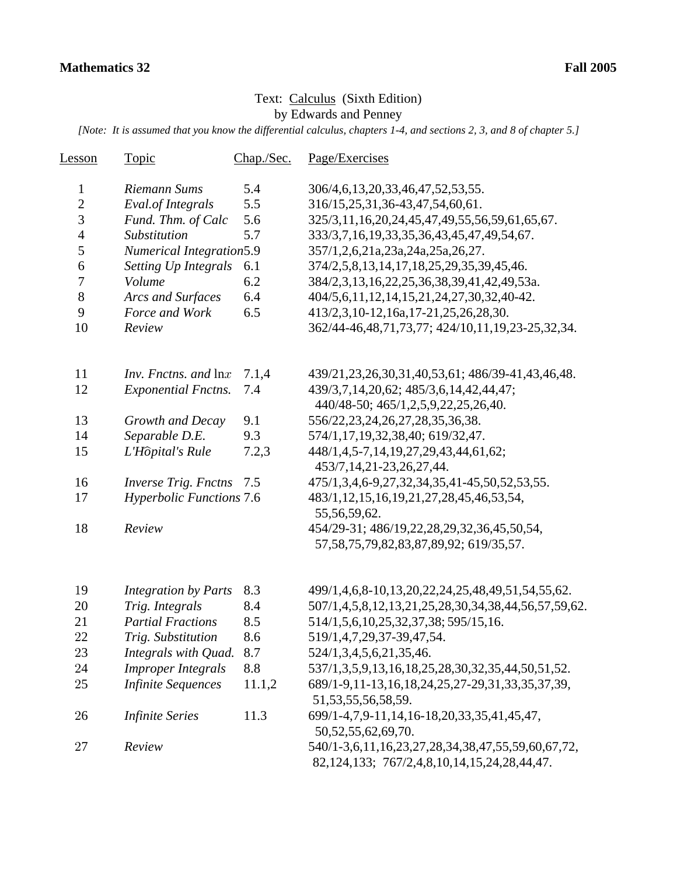## Text: Calculus (Sixth Edition) by Edwards and Penney

*[Note: It is assumed that you know the differential calculus, chapters 1-4, and sections 2, 3, and 8 of chapter 5.]*

| <u>Lesson</u>  | <b>Topic</b>                               | Chap./Sec. | Page/Exercises                                                                                              |
|----------------|--------------------------------------------|------------|-------------------------------------------------------------------------------------------------------------|
| $\mathbf{1}$   | Riemann Sums                               | 5.4        | 306/4, 6, 13, 20, 33, 46, 47, 52, 53, 55.                                                                   |
| $\overline{c}$ | Eval.of Integrals                          | 5.5        | 316/15,25,31,36-43,47,54,60,61.                                                                             |
| 3              | Fund. Thm. of Calc                         | 5.6        | 325/3,11,16,20,24,45,47,49,55,56,59,61,65,67.                                                               |
| $\overline{4}$ | Substitution                               | 5.7        | 333/3,7,16,19,33,35,36,43,45,47,49,54,67.                                                                   |
| 5              | <b>Numerical Integration5.9</b>            |            | 357/1,2,6,21a,23a,24a,25a,26,27.                                                                            |
| 6              | Setting Up Integrals                       | 6.1        | 374/2,5,8,13,14,17,18,25,29,35,39,45,46.                                                                    |
| 7              | Volume                                     | 6.2        | 384/2,3,13,16,22,25,36,38,39,41,42,49,53a.                                                                  |
| $8\,$          | Arcs and Surfaces                          | 6.4        | 404/5,6,11,12,14,15,21,24,27,30,32,40-42.                                                                   |
| 9              | Force and Work                             | 6.5        | 413/2,3,10-12,16a,17-21,25,26,28,30.                                                                        |
| 10             | Review                                     |            | 362/44-46,48,71,73,77; 424/10,11,19,23-25,32,34.                                                            |
| 11             | <i>Inv. Fnctns. and <math>\ln x</math></i> | 7.1,4      | 439/21, 23, 26, 30, 31, 40, 53, 61; 486/39-41, 43, 46, 48.                                                  |
| 12             | <b>Exponential Fnctns.</b>                 | 7.4        | 439/3,7,14,20,62; 485/3,6,14,42,44,47;                                                                      |
|                |                                            |            | 440/48-50; 465/1,2,5,9,22,25,26,40.                                                                         |
| 13             | Growth and Decay                           | 9.1        | 556/22, 23, 24, 26, 27, 28, 35, 36, 38.                                                                     |
| 14             | Separable D.E.                             | 9.3        | 574/1,17,19,32,38,40; 619/32,47.                                                                            |
| 15             | L'Hôpital's Rule                           | 7.2,3      | 448/1,4,5-7,14,19,27,29,43,44,61,62;<br>453/7, 14, 21-23, 26, 27, 44.                                       |
| 16             | <b>Inverse Trig. Fnctns</b>                | 7.5        | 475/1,3,4,6-9,27,32,34,35,41-45,50,52,53,55.                                                                |
| 17             | <b>Hyperbolic Functions 7.6</b>            |            | 483/1, 12, 15, 16, 19, 21, 27, 28, 45, 46, 53, 54,<br>55,56,59,62.                                          |
| 18             | Review                                     |            | 454/29-31; 486/19,22,28,29,32,36,45,50,54,<br>57, 58, 75, 79, 82, 83, 87, 89, 92; 619/35, 57.               |
| 19             | <b>Integration by Parts</b>                | 8.3        | 499/1,4,6,8-10,13,20,22,24,25,48,49,51,54,55,62.                                                            |
| 20             | Trig. Integrals                            | 8.4        | 507/1,4,5,8,12,13,21,25,28,30,34,38,44,56,57,59,62.                                                         |
| 21             | <b>Partial Fractions</b>                   | 8.5        | 514/1,5,6,10,25,32,37,38;595/15,16.                                                                         |
| 22             | Trig. Substitution                         | 8.6        | 519/1,4,7,29,37-39,47,54.                                                                                   |
| 23             | Integrals with Quad.                       | 8.7        | 524/1, 3, 4, 5, 6, 21, 35, 46.                                                                              |
| 24             | <b>Improper Integrals</b>                  | 8.8        | 537/1,3,5,9,13,16,18,25,28,30,32,35,44,50,51,52.                                                            |
| 25             | <b>Infinite Sequences</b>                  | 11.1,2     | 689/1-9,11-13,16,18,24,25,27-29,31,33,35,37,39,                                                             |
|                |                                            |            | 51, 53, 55, 56, 58, 59.                                                                                     |
| 26             | <b>Infinite Series</b>                     | 11.3       | 699/1-4,7,9-11,14,16-18,20,33,35,41,45,47,                                                                  |
|                |                                            |            | 50, 52, 55, 62, 69, 70.                                                                                     |
| 27             | Review                                     |            | 540/1-3,6,11,16,23,27,28,34,38,47,55,59,60,67,72,<br>82, 124, 133; 767/2, 4, 8, 10, 14, 15, 24, 28, 44, 47. |